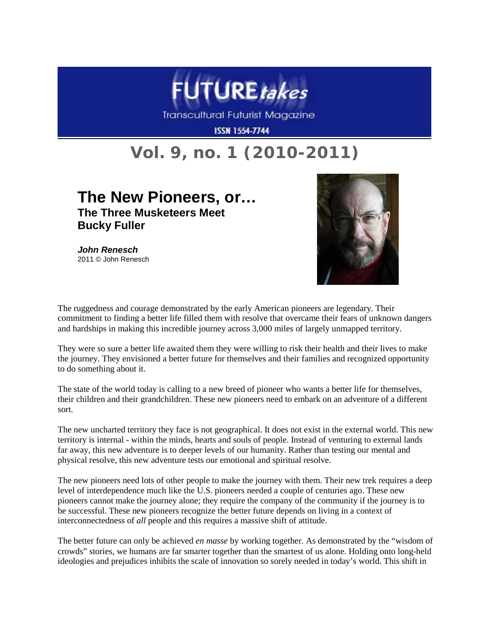

**Transcultural Futurist Magazine** 

**ISSN 1554-7744** 

## **Vol. 9, no. 1 (2010-2011)**

## **The New Pioneers, or… The Three Musketeers Meet Bucky Fuller**

*John Renesch* 2011 © John Renesch



The ruggedness and courage demonstrated by the early American pioneers are legendary. Their commitment to finding a better life filled them with resolve that overcame their fears of unknown dangers and hardships in making this incredible journey across 3,000 miles of largely unmapped territory.

They were so sure a better life awaited them they were willing to risk their health and their lives to make the journey. They envisioned a better future for themselves and their families and recognized opportunity to do something about it.

The state of the world today is calling to a new breed of pioneer who wants a better life for themselves, their children and their grandchildren. These new pioneers need to embark on an adventure of a different sort.

The new uncharted territory they face is not geographical. It does not exist in the external world. This new territory is internal - within the minds, hearts and souls of people. Instead of venturing to external lands far away, this new adventure is to deeper levels of our humanity. Rather than testing our mental and physical resolve, this new adventure tests our emotional and spiritual resolve.

The new pioneers need lots of other people to make the journey with them. Their new trek requires a deep level of interdependence much like the U.S. pioneers needed a couple of centuries ago. These new pioneers cannot make the journey alone; they require the company of the community if the journey is to be successful. These new pioneers recognize the better future depends on living in a context of interconnectedness of *all* people and this requires a massive shift of attitude.

The better future can only be achieved *en masse* by working together. As demonstrated by the "wisdom of crowds" stories, we humans are far smarter together than the smartest of us alone. Holding onto long-held ideologies and prejudices inhibits the scale of innovation so sorely needed in today's world. This shift in